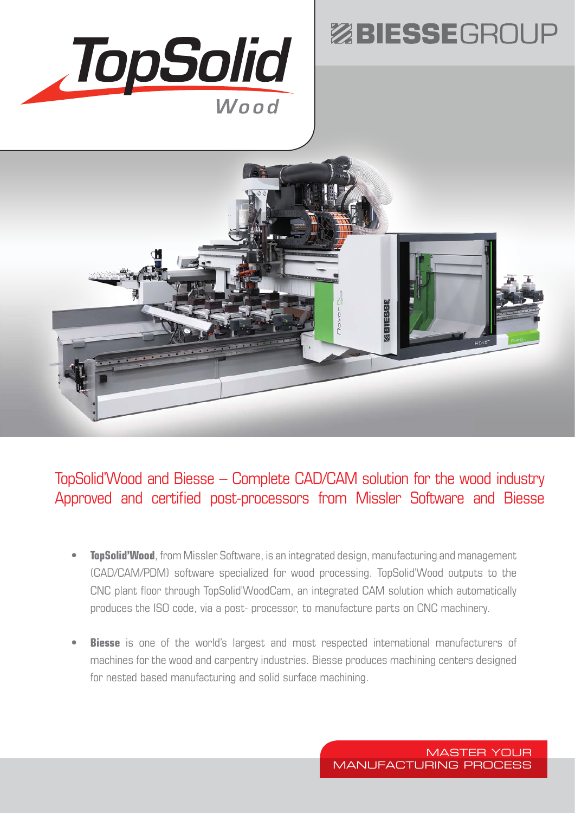

## ZBIESSEGROUP



## TopSolid'Wood and Biesse – Complete CAD/CAM solution for the wood industry Approved and certified post-processors from Missler Software and Biesse

- **TopSolid'Wood**, from Missler Software, is an integrated design, manufacturing and management (CAD/CAM/PDM) software specialized for wood processing. TopSolid'Wood outputs to the CNC plant floor through TopSolid'WoodCam, an integrated CAM solution which automatically produces the ISO code, via a post- processor, to manufacture parts on CNC machinery.
- **Biesse** is one of the world's largest and most respected international manufacturers of machines for the wood and carpentry industries. Biesse produces machining centers designed for nested based manufacturing and solid surface machining.